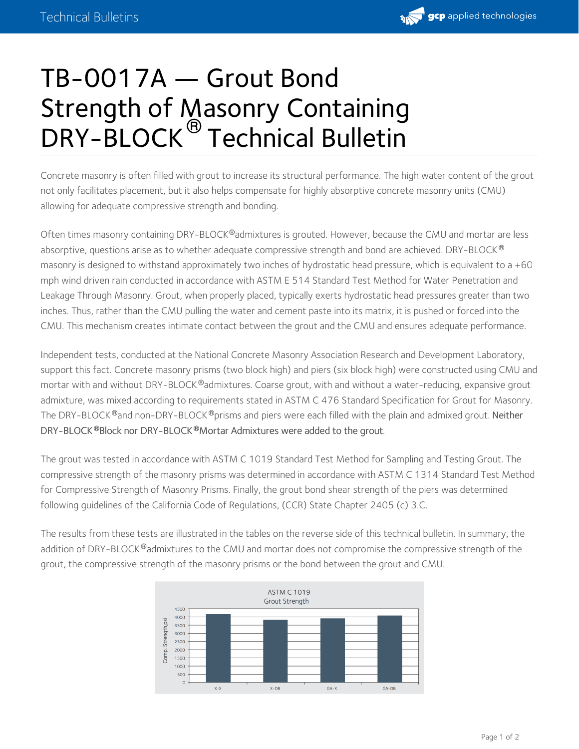

## TB-0017A — Grout Bond Strength of Masonry Containing DRY-BLOCK<sup>®</sup> Technical Bulletin

Concrete masonry is often filled with grout to increase its structural performance. The high water content of the grout not only facilitates placement, but it also helps compensate for highly absorptive concrete masonry units (CMU) allowing for adequate compressive strength and bonding.

Often times masonry containing DRY-BLOCK®admixtures is grouted. However, because the CMU and mortar are less absorptive, questions arise as to whether adequate compressive strength and bond are achieved. DRY-BLOCK  $^\circledR$ masonry is designed to withstand approximately two inches of hydrostatic head pressure, which is equivalent to a +60 mph wind driven rain conducted in accordance with ASTM E 514 Standard Test Method for Water Penetration and Leakage Through Masonry. Grout, when properly placed, typically exerts hydrostatic head pressures greater than two inches. Thus, rather than the CMU pulling the water and cement paste into its matrix, it is pushed or forced into the CMU. This mechanism creates intimate contact between the grout and the CMU and ensures adequate performance.

Independent tests, conducted at the National Concrete Masonry Association Research and Development Laboratory, support this fact. Concrete masonry prisms (two block high) and piers (six block high) were constructed using CMU and mortar with and without DRY-BLOCK®admixtures. Coarse grout, with and without a water-reducing, expansive grout admixture, was mixed according to requirements stated in ASTM C 476 Standard Specification for Grout for Masonry. The DRY-BLOCK ®and non-DRY-BLOCK ®prisms and piers were each filled with the plain and admixed grout. **Neither** DRY-BLOCK Block nor DRY-BLOCK Mortar Admixtures were added to the grout. **® ®**

The grout was tested in accordance with ASTM C 1019 Standard Test Method for Sampling and Testing Grout. The compressive strength of the masonry prisms was determined in accordance with ASTM C 1314 Standard Test Method for Compressive Strength of Masonry Prisms. Finally, the grout bond shear strength of the piers was determined following guidelines of the California Code of Regulations, (CCR) State Chapter 2405 (c) 3.C.

The results from these tests are illustrated in the tables on the reverse side of this technical bulletin. In summary, the addition of DRY-BLOCK®admixtures to the CMU and mortar does not compromise the compressive strength of the grout, the compressive strength of the masonry prisms or the bond between the grout and CMU.